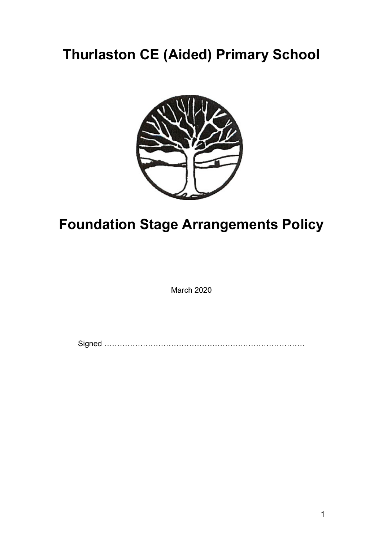## Thurlaston CE (Aided) Primary School



# Foundation Stage Arrangements Policy

March 2020

Signed ……………………………………………………………………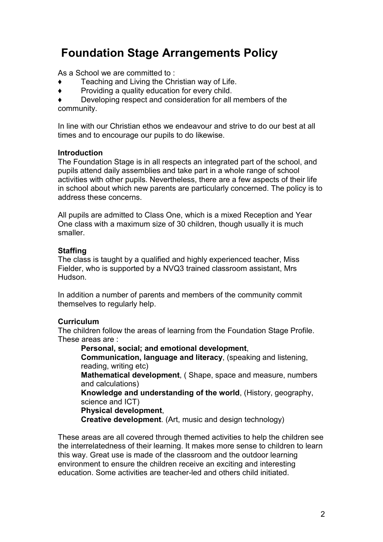### Foundation Stage Arrangements Policy

As a School we are committed to :

- Teaching and Living the Christian way of Life.
- ♦ Providing a quality education for every child.

Developing respect and consideration for all members of the community.

In line with our Christian ethos we endeavour and strive to do our best at all times and to encourage our pupils to do likewise.

#### Introduction

The Foundation Stage is in all respects an integrated part of the school, and pupils attend daily assemblies and take part in a whole range of school activities with other pupils. Nevertheless, there are a few aspects of their life in school about which new parents are particularly concerned. The policy is to address these concerns.

All pupils are admitted to Class One, which is a mixed Reception and Year One class with a maximum size of 30 children, though usually it is much smaller.

#### **Staffing**

The class is taught by a qualified and highly experienced teacher, Miss Fielder, who is supported by a NVQ3 trained classroom assistant, Mrs **Hudson** 

In addition a number of parents and members of the community commit themselves to regularly help.

#### **Curriculum**

The children follow the areas of learning from the Foundation Stage Profile. These areas are :

Personal, social; and emotional development, Communication, language and literacy, (speaking and listening, reading, writing etc) Mathematical development, ( Shape, space and measure, numbers and calculations) Knowledge and understanding of the world, (History, geography, science and ICT) Physical development,

Creative development. (Art, music and design technology)

These areas are all covered through themed activities to help the children see the interrelatedness of their learning. It makes more sense to children to learn this way. Great use is made of the classroom and the outdoor learning environment to ensure the children receive an exciting and interesting education. Some activities are teacher-led and others child initiated.